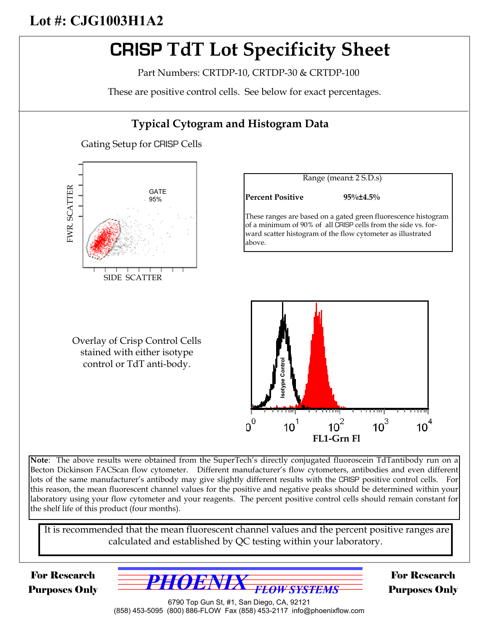## **Lot #: CJG1003H1A2**

# **CRISP TdT Lot Specificity Sheet**

Part Numbers: CRTDP-10, CRTDP-30 & CRTDP-100

These are positive control cells. See below for exact percentages.

### **Typical Cytogram and Histogram Data** Gating Setup for CRISP Cells Range (mean± 2 S.D.s) FWR. SCATTER FWR. SCATTER GATE **Percent Positive 95%±4.5%** 95% These ranges are based on a gated green fluorescence histogram of a minimum of 90% of all CRISP cells from the side vs. forward scatter histogram of the flow cytometer as illustrated above. SIDE SCATTER Overlay of Crisp Control Cells stained with either isotype **Isotype Control**control or TdT anti-body.  $\text{o}^{\text{o}}$  $10^3$  $10<sup>1</sup>$  $10<sup>2</sup>$ 10<sup>-</sup> **FL1-Grn Fl**

**Note**: The above results were obtained from the SuperTech's directly conjugated fluoroscein TdTantibody run on a Becton Dickinson FACScan flow cytometer. Different manufacturer's flow cytometers, antibodies and even different lots of the same manufacturer's antibody may give slightly different results with the CRISP positive control cells. For this reason, the mean fluorescent channel values for the positive and negative peaks should be determined within your laboratory using your flow cytometer and your reagents. The percent positive control cells should remain constant for the shelf life of this product (four months).

It is recommended that the mean fluorescent channel values and the percent positive ranges are calculated and established by QC testing within your laboratory.

For Research Purposes Only



For Research Purposes Only

6790 Top Gun St, #1, San Diego, CA, 92121 (858) 453-5095 (800) 886-FLOW Fax (858) 453-2117 info@phoenixflow.com